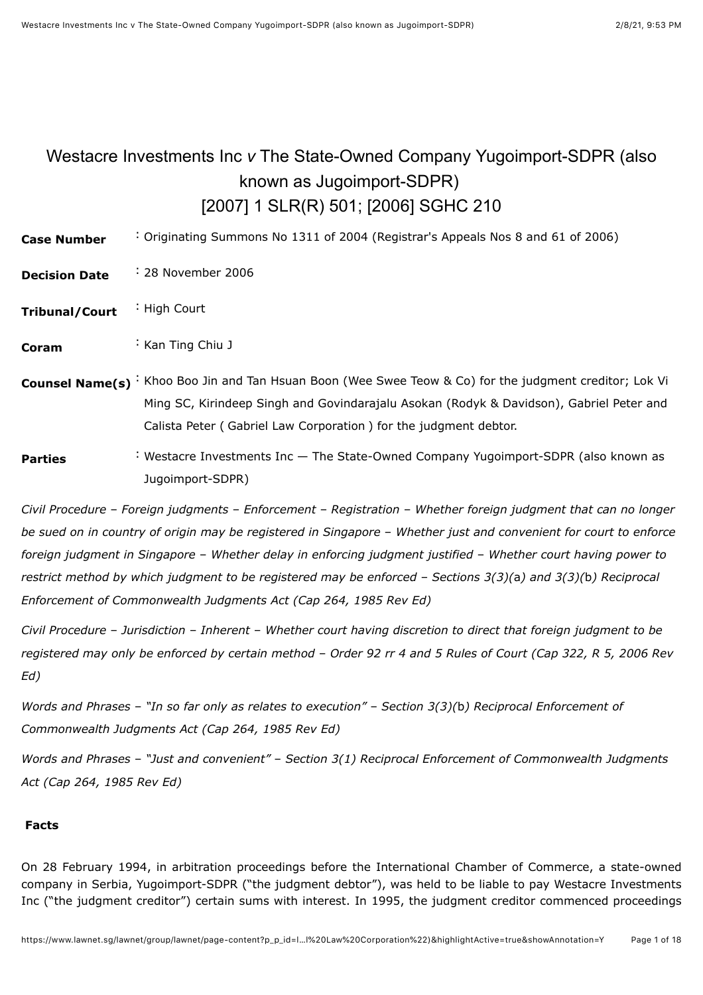# <span id="page-0-0"></span>Westacre Investments Inc *v* The State-Owned Company Yugoimport-SDPR (also known as Jugoimport-SDPR) [\[2007\] 1 SLR\(R\) 501;](javascript:viewPageContent() [\[2006\] SGHC 210](javascript:viewPageContent()

**Case Number** : Originating Summons No 1311 of 2004 (Registrar's Appeals Nos 8 and 61 of 2006)

- **Decision Date** : 28 November 2006
- **Tribunal/Court** : High Court

**Coram** : [Kan Ting Chiu J](javascript:actionFiltering()

- **Counsel Name(s)** : Khoo Boo Jin and Tan Hsuan Boon (Wee Swee Teow & Co) for the judgment creditor; Lok Vi Ming SC, Kirindeep Singh and Govindarajalu Asokan (Rodyk & Davidson), Gabriel Peter and Calista Peter ( Gabriel Law Corporation ) for the judgment debtor.
- **Parties** : Westacre Investments Inc The State-Owned Company Yugoimport-SDPR (also known as Jugoimport-SDPR)

*Civil Procedure* – *Foreign judgments* – *Enforcement* – *Registration* – *Whether foreign judgment that can no longer be sued on in country of origin may be registered in Singapore* – *Whether just and convenient for court to enforce foreign judgment in Singapore* – *Whether delay in enforcing judgment justified* – *Whether court having power to restrict method by which judgment to be registered may be enforced* – *Sections 3(3)(*a*) and 3(3)(*b*) Reciprocal Enforcement of Commonwealth Judgments Act (Cap 264, 1985 Rev Ed)*

*Civil Procedure* – *Jurisdiction* – *Inherent* – *Whether court having discretion to direct that foreign judgment to be registered may only be enforced by certain method* – *Order 92 rr 4 and 5 Rules of Court (Cap 322, R 5, 2006 Rev Ed)*

*Words and Phrases* – *"In so far only as relates to execution"* – *Section 3(3)(*b*) Reciprocal Enforcement of Commonwealth Judgments Act (Cap 264, 1985 Rev Ed)*

*Words and Phrases* – *"Just and convenient"* – *Section 3(1) Reciprocal Enforcement of Commonwealth Judgments Act (Cap 264, 1985 Rev Ed)*

#### **Facts**

On 28 February 1994, in arbitration proceedings before the International Chamber of Commerce, a state-owned company in Serbia, Yugoimport-SDPR ("the judgment debtor"), was held to be liable to pay Westacre Investments Inc ("the judgment creditor") certain sums with interest. In 1995, the judgment creditor commenced proceedings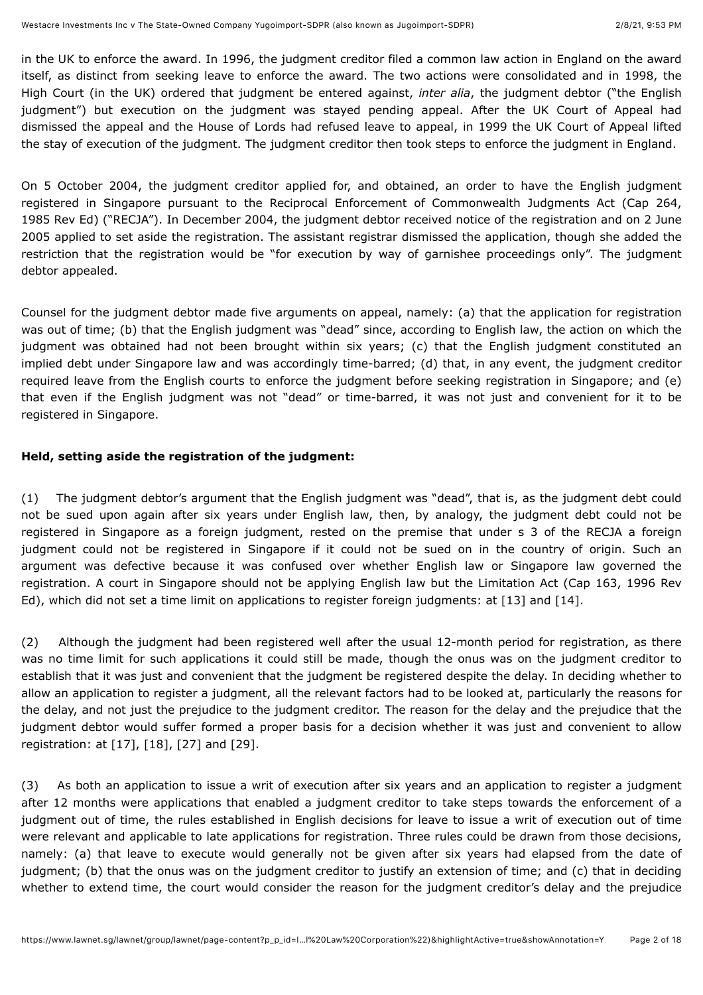in the UK to enforce the award. In 1996, the judgment creditor filed a common law action in England on the award itself, as distinct from seeking leave to enforce the award. The two actions were consolidated and in 1998, the High Court (in the UK) ordered that judgment be entered against, *inter alia*, the judgment debtor ("the English judgment") but execution on the judgment was stayed pending appeal. After the UK Court of Appeal had dismissed the appeal and the House of Lords had refused leave to appeal, in 1999 the UK Court of Appeal lifted the stay of execution of the judgment. The judgment creditor then took steps to enforce the judgment in England.

On 5 October 2004, the judgment creditor applied for, and obtained, an order to have the English judgment registered in Singapore pursuant to the Reciprocal Enforcement of Commonwealth Judgments Act (Cap 264, 1985 Rev Ed) ("RECJA"). In December 2004, the judgment debtor received notice of the registration and on 2 June 2005 applied to set aside the registration. The assistant registrar dismissed the application, though she added the restriction that the registration would be "for execution by way of garnishee proceedings only". The judgment debtor appealed.

Counsel for the judgment debtor made five arguments on appeal, namely: (a) that the application for registration was out of time; (b) that the English judgment was "dead" since, according to English law, the action on which the judgment was obtained had not been brought within six years; (c) that the English judgment constituted an implied debt under Singapore law and was accordingly time-barred; (d) that, in any event, the judgment creditor required leave from the English courts to enforce the judgment before seeking registration in Singapore; and (e) that even if the English judgment was not "dead" or time-barred, it was not just and convenient for it to be registered in Singapore.

## **Held, setting aside the registration of the judgment:**

(1) The judgment debtor's argument that the English judgment was "dead", that is, as the judgment debt could not be sued upon again after six years under English law, then, by analogy, the judgment debt could not be registered in Singapore as a foreign judgment, rested on the premise that under s 3 of the RECJA a foreign judgment could not be registered in Singapore if it could not be sued on in the country of origin. Such an argument was defective because it was confused over whether English law or Singapore law governed the registration. A court in Singapore should not be applying English law but the Limitation Act (Cap 163, 1996 Rev Ed), which did not set a time limit on applications to register foreign judgments: at [\[13\]](#page-8-0) and [\[14\].](#page-8-1)

(2) Although the judgment had been registered well after the usual 12-month period for registration, as there was no time limit for such applications it could still be made, though the onus was on the judgment creditor to establish that it was just and convenient that the judgment be registered despite the delay. In deciding whether to allow an application to register a judgment, all the relevant factors had to be looked at, particularly the reasons for the delay, and not just the prejudice to the judgment creditor. The reason for the delay and the prejudice that the judgment debtor would suffer formed a proper basis for a decision whether it was just and convenient to allow registration: at [\[17\],](#page-8-2) [\[18\],](#page-8-3) [\[27\]](#page-10-0) and [\[29\]](#page-10-1).

(3) As both an application to issue a writ of execution after six years and an application to register a judgment after 12 months were applications that enabled a judgment creditor to take steps towards the enforcement of a judgment out of time, the rules established in English decisions for leave to issue a writ of execution out of time were relevant and applicable to late applications for registration. Three rules could be drawn from those decisions, namely: (a) that leave to execute would generally not be given after six years had elapsed from the date of judgment; (b) that the onus was on the judgment creditor to justify an extension of time; and (c) that in deciding whether to extend time, the court would consider the reason for the judgment creditor's delay and the prejudice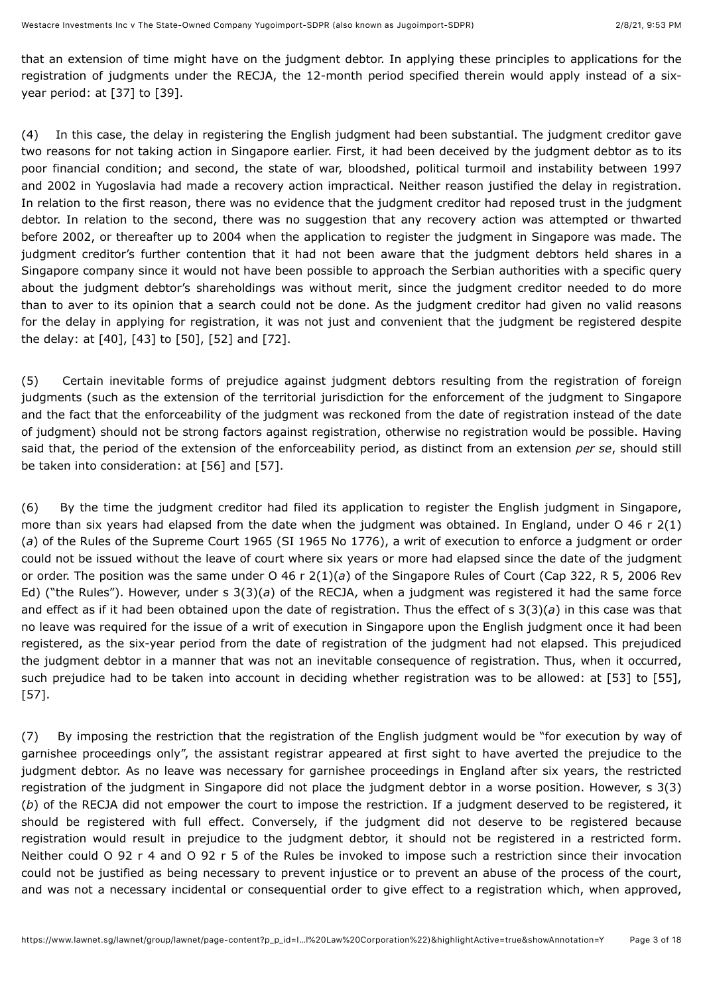that an extension of time might have on the judgment debtor. In applying these principles to applications for the registration of judgments under the RECJA, the 12-month period specified therein would apply instead of a six-year period: at [\[37\]](#page-12-0) to [\[39\].](#page-12-1)

(4) In this case, the delay in registering the English judgment had been substantial. The judgment creditor gave two reasons for not taking action in Singapore earlier. First, it had been deceived by the judgment debtor as to its poor financial condition; and second, the state of war, bloodshed, political turmoil and instability between 1997 and 2002 in Yugoslavia had made a recovery action impractical. Neither reason justified the delay in registration. In relation to the first reason, there was no evidence that the judgment creditor had reposed trust in the judgment debtor. In relation to the second, there was no suggestion that any recovery action was attempted or thwarted before 2002, or thereafter up to 2004 when the application to register the judgment in Singapore was made. The judgment creditor's further contention that it had not been aware that the judgment debtors held shares in a Singapore company since it would not have been possible to approach the Serbian authorities with a specific query about the judgment debtor's shareholdings was without merit, since the judgment creditor needed to do more than to aver to its opinion that a search could not be done. As the judgment creditor had given no valid reasons for the delay in applying for registration, it was not just and convenient that the judgment be registered despite the delay: at [\[40\]](#page-13-0), [\[43\]](#page-13-1) to [\[50\]](#page-14-0), [\[52\]](#page-14-1) and [\[72\].](#page-17-0)

(5) Certain inevitable forms of prejudice against judgment debtors resulting from the registration of foreign judgments (such as the extension of the territorial jurisdiction for the enforcement of the judgment to Singapore and the fact that the enforceability of the judgment was reckoned from the date of registration instead of the date of judgment) should not be strong factors against registration, otherwise no registration would be possible. Having said that, the period of the extension of the enforceability period, as distinct from an extension *per se*, should still be taken into consideration: at [\[56\]](#page-14-2) and [\[57\].](#page-15-0)

(6) By the time the judgment creditor had filed its application to register the English judgment in Singapore, more than six years had elapsed from the date when the judgment was obtained. In England, under O 46 r 2(1) (*a*) of the Rules of the Supreme Court 1965 (SI 1965 No 1776), a writ of execution to enforce a judgment or order could not be issued without the leave of court where six years or more had elapsed since the date of the judgment or order. The position was the same under O 46 r 2(1)(*a*) of the Singapore Rules of Court (Cap 322, R 5, 2006 Rev Ed) ("the Rules"). However, under s 3(3)(*a*) of the RECJA, when a judgment was registered it had the same force and effect as if it had been obtained upon the date of registration. Thus the effect of s 3(3)(*a*) in this case was that no leave was required for the issue of a writ of execution in Singapore upon the English judgment once it had been registered, as the six-year period from the date of registration of the judgment had not elapsed. This prejudiced the judgment debtor in a manner that was not an inevitable consequence of registration. Thus, when it occurred, such prejudice had to be taken into account in deciding whether registration was to be allowed: at [\[53\]](#page-14-3) to [\[55\]](#page-14-4), [\[57\].](#page-15-0)

(7) By imposing the restriction that the registration of the English judgment would be "for execution by way of garnishee proceedings only", the assistant registrar appeared at first sight to have averted the prejudice to the judgment debtor. As no leave was necessary for garnishee proceedings in England after six years, the restricted registration of the judgment in Singapore did not place the judgment debtor in a worse position. However, s 3(3) (*b*) of the RECJA did not empower the court to impose the restriction. If a judgment deserved to be registered, it should be registered with full effect. Conversely, if the judgment did not deserve to be registered because registration would result in prejudice to the judgment debtor, it should not be registered in a restricted form. Neither could O 92 r 4 and O 92 r 5 of the Rules be invoked to impose such a restriction since their invocation could not be justified as being necessary to prevent injustice or to prevent an abuse of the process of the court, and was not a necessary incidental or consequential order to give effect to a registration which, when approved,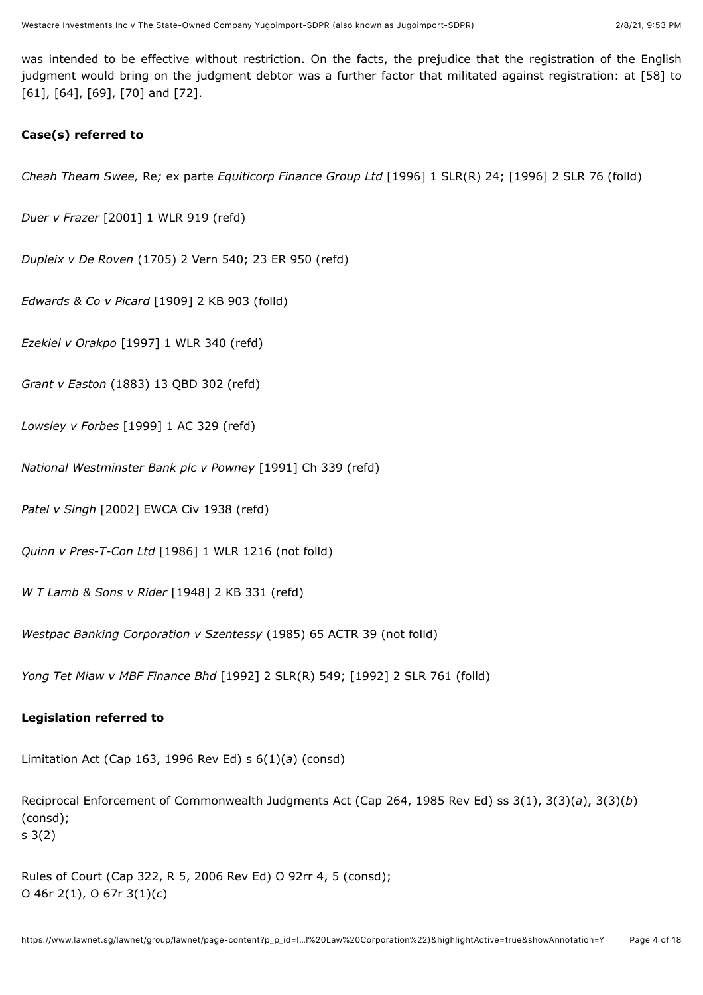was intended to be effective without restriction. On the facts, the prejudice that the registration of the English judgment would bring on the judgment debtor was a further factor that militated against registration: at [\[58\]](#page-15-1) to [\[61\],](#page-15-2) [\[64\],](#page-16-0) [\[69\],](#page-17-1) [\[70\]](#page-17-2) and [\[72\].](#page-17-0)

## **Case(s) referred to**

*Cheah Theam Swee,* Re*;* ex parte *Equiticorp Finance Group Ltd* [\[1996\] 1 SLR\(R\) 24;](javascript:viewPageContent() [1996] 2 SLR 76 (folld)

*Duer v Frazer* [\[2001\] 1 WLR 919](javascript:viewPageContent() (refd)

*Dupleix v De Roven* (1705) 2 Vern 540; 23 ER 950 (refd)

*Edwards & Co v Picard* [\[1909\] 2 KB 903](javascript:viewPageContent() (folld)

*Ezekiel v Orakpo* [\[1997\] 1 WLR 340](javascript:viewPageContent() (refd)

*Grant v Easton* [\(1883\) 13 QBD 302](javascript:viewPageContent() (refd)

*Lowsley v Forbes* [\[1999\] 1 AC 329](javascript:viewPageContent() (refd)

*National Westminster Bank plc v Powney* [1991] Ch 339 (refd)

*Patel v Singh* [2002] EWCA Civ 1938 (refd)

*Quinn v Pres-T-Con Ltd* [\[1986\] 1 WLR 1216](javascript:viewPageContent() (not folld)

*W T Lamb & Sons v Rider* [\[1948\] 2 KB 331](javascript:viewPageContent() (refd)

*Westpac Banking Corporation v Szentessy* (1985) 65 ACTR 39 (not folld)

*Yong Tet Miaw v MBF Finance Bhd* [\[1992\] 2 SLR\(R\) 549](javascript:viewPageContent(); [1992] 2 SLR 761 (folld)

## **Legislation referred to**

Limitation Act (Cap 163, 1996 Rev Ed) s 6(1)(*a*) (consd)

Reciprocal Enforcement of Commonwealth Judgments Act (Cap 264, 1985 Rev Ed) ss 3(1), 3(3)(*a*), 3(3)(*b*) (consd); s 3(2)

Rules of Court (Cap 322, R 5, 2006 Rev Ed) O 92rr 4, 5 (consd); O 46r 2(1), O 67r 3(1)(*c*)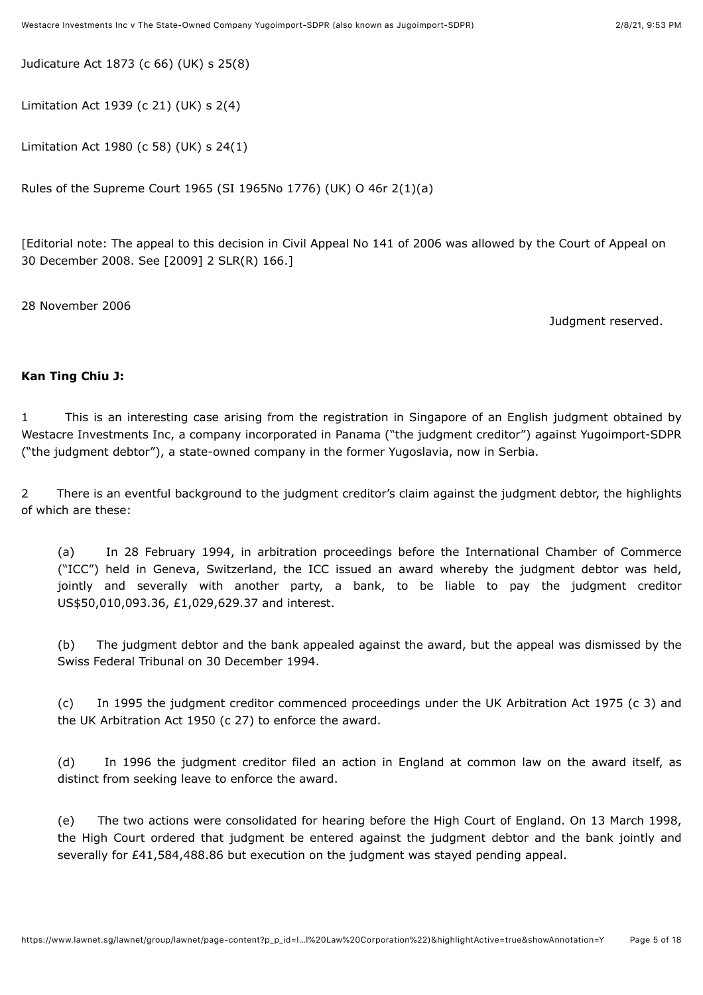Judicature Act 1873 (c 66) (UK) s 25(8)

Limitation Act 1939 (c 21) (UK) s 2(4)

Limitation Act 1980 (c 58) (UK) s 24(1)

Rules of the Supreme Court 1965 (SI 1965No 1776) (UK) O 46r 2(1)(a)

[Editorial note: The appeal to this decision in Civil Appeal No 141 of 2006 was allowed by the Court of Appeal on 30 December 2008. See [\[2009\] 2 SLR\(R\) 166](javascript:viewPageContent().]

28 November 2006

Judgment reserved.

#### **Kan Ting Chiu J:**

1 This is an interesting case arising from the registration in Singapore of an English judgment obtained by Westacre Investments Inc, a company incorporated in Panama ("the judgment creditor") against Yugoimport-SDPR ("the judgment debtor"), a state-owned company in the former Yugoslavia, now in Serbia.

2 There is an eventful background to the judgment creditor's claim against the judgment debtor, the highlights of which are these:

(a) In 28 February 1994, in arbitration proceedings before the International Chamber of Commerce ("ICC") held in Geneva, Switzerland, the ICC issued an award whereby the judgment debtor was held, jointly and severally with another party, a bank, to be liable to pay the judgment creditor US\$50,010,093.36, £1,029,629.37 and interest.

(b) The judgment debtor and the bank appealed against the award, but the appeal was dismissed by the Swiss Federal Tribunal on 30 December 1994.

(c) In 1995 the judgment creditor commenced proceedings under the UK Arbitration Act 1975 (c 3) and the UK Arbitration Act 1950 (c 27) to enforce the award.

(d) In 1996 the judgment creditor filed an action in England at common law on the award itself, as distinct from seeking leave to enforce the award.

(e) The two actions were consolidated for hearing before the High Court of England. On 13 March 1998, the High Court ordered that judgment be entered against the judgment debtor and the bank jointly and severally for £41,584,488.86 but execution on the judgment was stayed pending appeal.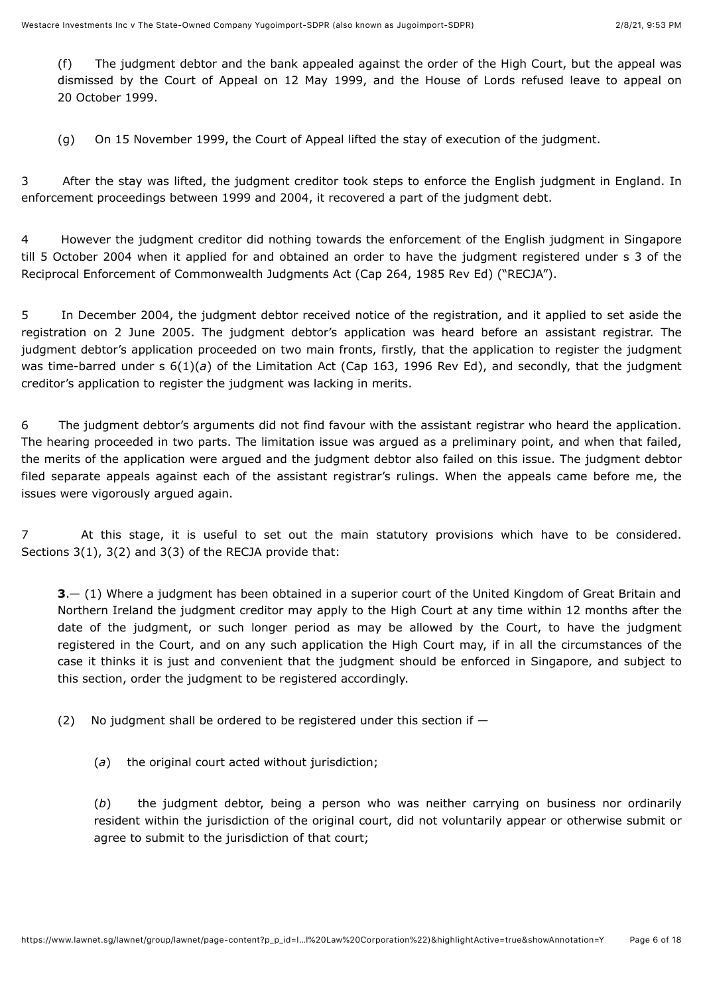(f) The judgment debtor and the bank appealed against the order of the High Court, but the appeal was dismissed by the Court of Appeal on 12 May 1999, and the House of Lords refused leave to appeal on 20 October 1999.

(g) On 15 November 1999, the Court of Appeal lifted the stay of execution of the judgment.

3 After the stay was lifted, the judgment creditor took steps to enforce the English judgment in England. In enforcement proceedings between 1999 and 2004, it recovered a part of the judgment debt.

4 However the judgment creditor did nothing towards the enforcement of the English judgment in Singapore till 5 October 2004 when it applied for and obtained an order to have the judgment registered under s 3 of the Reciprocal Enforcement of Commonwealth Judgments Act (Cap 264, 1985 Rev Ed) ("RECJA").

5 In December 2004, the judgment debtor received notice of the registration, and it applied to set aside the registration on 2 June 2005. The judgment debtor's application was heard before an assistant registrar. The judgment debtor's application proceeded on two main fronts, firstly, that the application to register the judgment was time-barred under s 6(1)(*a*) of the Limitation Act (Cap 163, 1996 Rev Ed), and secondly, that the judgment creditor's application to register the judgment was lacking in merits.

6 The judgment debtor's arguments did not find favour with the assistant registrar who heard the application. The hearing proceeded in two parts. The limitation issue was argued as a preliminary point, and when that failed, the merits of the application were argued and the judgment debtor also failed on this issue. The judgment debtor filed separate appeals against each of the assistant registrar's rulings. When the appeals came before me, the issues were vigorously argued again.

7 At this stage, it is useful to set out the main statutory provisions which have to be considered. Sections 3(1), 3(2) and 3(3) of the RECJA provide that:

**3**.— (1) Where a judgment has been obtained in a superior court of the United Kingdom of Great Britain and Northern Ireland the judgment creditor may apply to the High Court at any time within 12 months after the date of the judgment, or such longer period as may be allowed by the Court, to have the judgment registered in the Court, and on any such application the High Court may, if in all the circumstances of the case it thinks it is just and convenient that the judgment should be enforced in Singapore, and subject to this section, order the judgment to be registered accordingly.

(2) No judgment shall be ordered to be registered under this section if  $-$ 

(*a*) the original court acted without jurisdiction;

(*b*) the judgment debtor, being a person who was neither carrying on business nor ordinarily resident within the jurisdiction of the original court, did not voluntarily appear or otherwise submit or agree to submit to the jurisdiction of that court;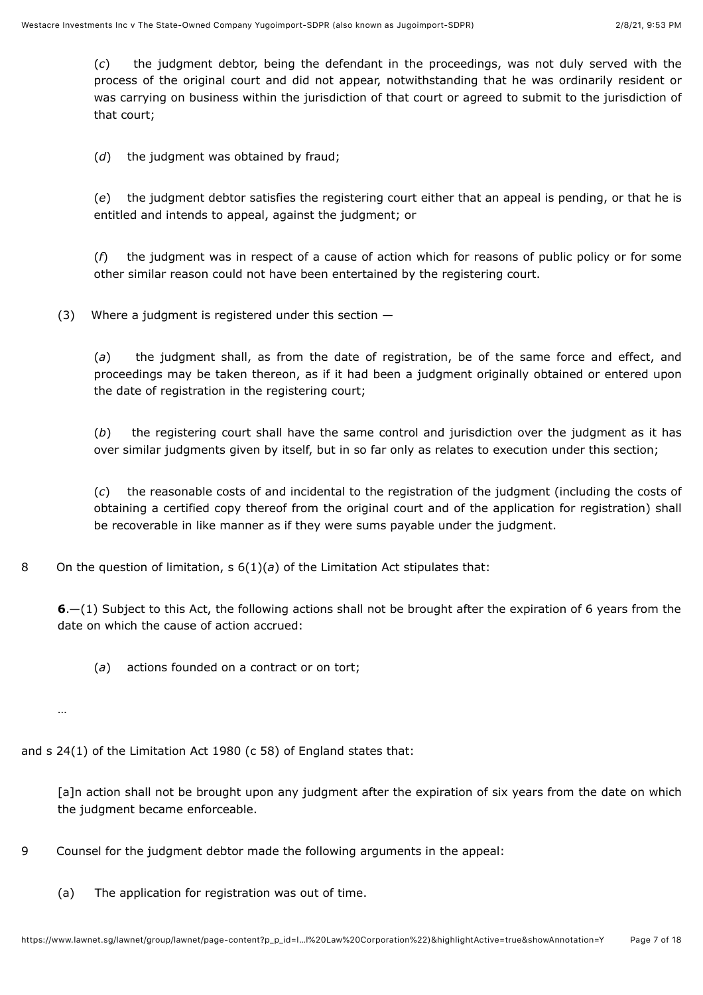(*c*) the judgment debtor, being the defendant in the proceedings, was not duly served with the process of the original court and did not appear, notwithstanding that he was ordinarily resident or was carrying on business within the jurisdiction of that court or agreed to submit to the jurisdiction of that court;

(*d*) the judgment was obtained by fraud;

(*e*) the judgment debtor satisfies the registering court either that an appeal is pending, or that he is entitled and intends to appeal, against the judgment; or

(*f*) the judgment was in respect of a cause of action which for reasons of public policy or for some other similar reason could not have been entertained by the registering court.

(3) Where a judgment is registered under this section —

(*a*) the judgment shall, as from the date of registration, be of the same force and effect, and proceedings may be taken thereon, as if it had been a judgment originally obtained or entered upon the date of registration in the registering court;

(*b*) the registering court shall have the same control and jurisdiction over the judgment as it has over similar judgments given by itself, but in so far only as relates to execution under this section;

(*c*) the reasonable costs of and incidental to the registration of the judgment (including the costs of obtaining a certified copy thereof from the original court and of the application for registration) shall be recoverable in like manner as if they were sums payable under the judgment.

8 On the question of limitation, s 6(1)(*a*) of the Limitation Act stipulates that:

**6**.—(1) Subject to this Act, the following actions shall not be brought after the expiration of 6 years from the date on which the cause of action accrued:

(*a*) actions founded on a contract or on tort;

…

and s 24(1) of the Limitation Act 1980 (c 58) of England states that:

[a]n action shall not be brought upon any judgment after the expiration of six years from the date on which the judgment became enforceable.

- 9 Counsel for the judgment debtor made the following arguments in the appeal:
	- (a) The application for registration was out of time.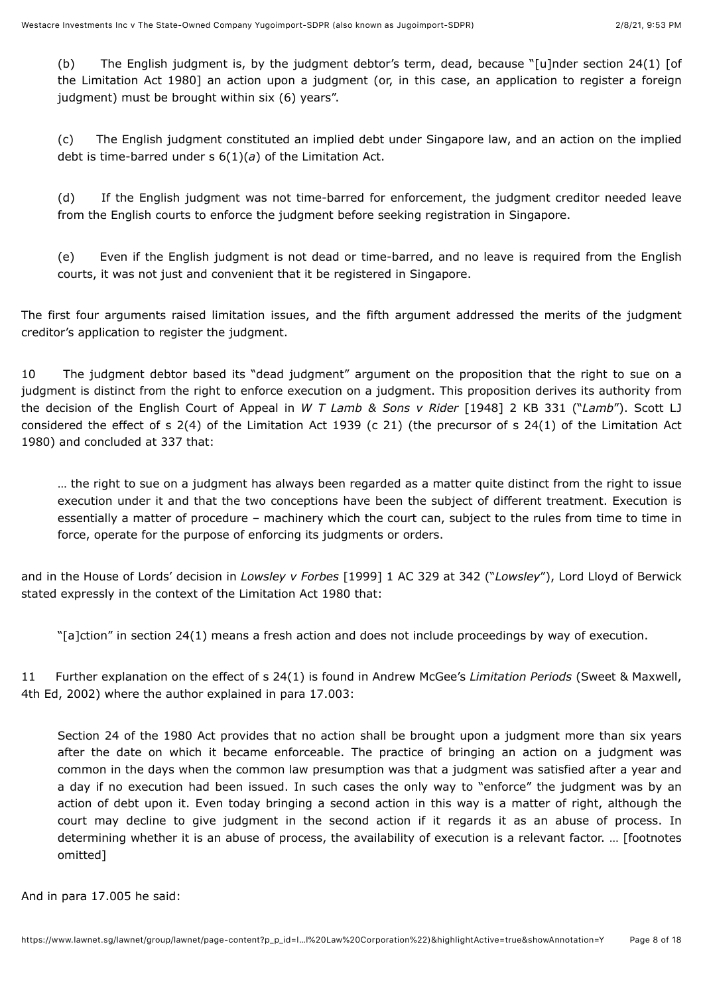(b) The English judgment is, by the judgment debtor's term, dead, because "[u]nder section 24(1) [of the Limitation Act 1980] an action upon a judgment (or, in this case, an application to register a foreign judgment) must be brought within six (6) years".

(c) The English judgment constituted an implied debt under Singapore law, and an action on the implied debt is time-barred under s 6(1)(*a*) of the Limitation Act.

(d) If the English judgment was not time-barred for enforcement, the judgment creditor needed leave from the English courts to enforce the judgment before seeking registration in Singapore.

(e) Even if the English judgment is not dead or time-barred, and no leave is required from the English courts, it was not just and convenient that it be registered in Singapore.

The first four arguments raised limitation issues, and the fifth argument addressed the merits of the judgment creditor's application to register the judgment.

10 The judgment debtor based its "dead judgment" argument on the proposition that the right to sue on a judgment is distinct from the right to enforce execution on a judgment. This proposition derives its authority from the decision of the English Court of Appeal in *W T Lamb & Sons v Rider* [\[1948\] 2 KB 331](javascript:viewPageContent() ("*Lamb*"). Scott LJ considered the effect of s 2(4) of the Limitation Act 1939 (c 21) (the precursor of s 24(1) of the Limitation Act 1980) and concluded at 337 that:

… the right to sue on a judgment has always been regarded as a matter quite distinct from the right to issue execution under it and that the two conceptions have been the subject of different treatment. Execution is essentially a matter of procedure – machinery which the court can, subject to the rules from time to time in force, operate for the purpose of enforcing its judgments or orders.

and in the House of Lords' decision in *Lowsley v Forbes* [\[1999\] 1 AC 329](javascript:viewPageContent() at 342 ("*Lowsley*"), Lord Lloyd of Berwick stated expressly in the context of the Limitation Act 1980 that:

"[a]ction" in section 24(1) means a fresh action and does not include proceedings by way of execution.

11 Further explanation on the effect of s 24(1) is found in Andrew McGee's *Limitation Periods* (Sweet & Maxwell, 4th Ed, 2002) where the author explained in para 17.003:

Section 24 of the 1980 Act provides that no action shall be brought upon a judgment more than six years after the date on which it became enforceable. The practice of bringing an action on a judgment was common in the days when the common law presumption was that a judgment was satisfied after a year and a day if no execution had been issued. In such cases the only way to "enforce" the judgment was by an action of debt upon it. Even today bringing a second action in this way is a matter of right, although the court may decline to give judgment in the second action if it regards it as an abuse of process. In determining whether it is an abuse of process, the availability of execution is a relevant factor. … [footnotes omitted]

And in para 17.005 he said: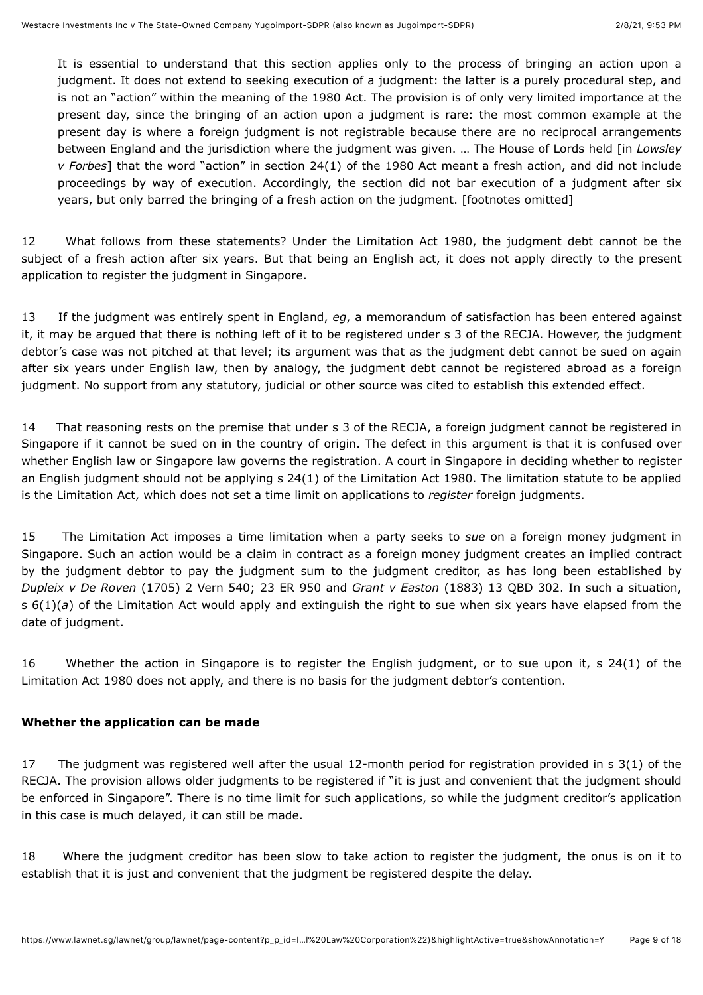It is essential to understand that this section applies only to the process of bringing an action upon a judgment. It does not extend to seeking execution of a judgment: the latter is a purely procedural step, and is not an "action" within the meaning of the 1980 Act. The provision is of only very limited importance at the present day, since the bringing of an action upon a judgment is rare: the most common example at the present day is where a foreign judgment is not registrable because there are no reciprocal arrangements between England and the jurisdiction where the judgment was given. … The House of Lords held [in *Lowsley v Forbes*] that the word "action" in section 24(1) of the 1980 Act meant a fresh action, and did not include proceedings by way of execution. Accordingly, the section did not bar execution of a judgment after six years, but only barred the bringing of a fresh action on the judgment. [footnotes omitted]

12 What follows from these statements? Under the Limitation Act 1980, the judgment debt cannot be the subject of a fresh action after six years. But that being an English act, it does not apply directly to the present application to register the judgment in Singapore.

<span id="page-8-0"></span>13 If the judgment was entirely spent in England, *eg*, a memorandum of satisfaction has been entered against it, it may be argued that there is nothing left of it to be registered under s 3 of the RECJA. However, the judgment debtor's case was not pitched at that level; its argument was that as the judgment debt cannot be sued on again after six years under English law, then by analogy, the judgment debt cannot be registered abroad as a foreign judgment. No support from any statutory, judicial or other source was cited to establish this extended effect.

<span id="page-8-1"></span>14 That reasoning rests on the premise that under s 3 of the RECJA, a foreign judgment cannot be registered in Singapore if it cannot be sued on in the country of origin. The defect in this argument is that it is confused over whether English law or Singapore law governs the registration. A court in Singapore in deciding whether to register an English judgment should not be applying s 24(1) of the Limitation Act 1980. The limitation statute to be applied is the Limitation Act, which does not set a time limit on applications to *register* foreign judgments.

15 The Limitation Act imposes a time limitation when a party seeks to *sue* on a foreign money judgment in Singapore. Such an action would be a claim in contract as a foreign money judgment creates an implied contract by the judgment debtor to pay the judgment sum to the judgment creditor, as has long been established by *Dupleix v De Roven* (1705) 2 Vern 540; 23 ER 950 and *Grant v Easton* [\(1883\) 13 QBD 302.](javascript:viewPageContent() In such a situation, s 6(1)(*a*) of the Limitation Act would apply and extinguish the right to sue when six years have elapsed from the date of judgment.

16 Whether the action in Singapore is to register the English judgment, or to sue upon it, s 24(1) of the Limitation Act 1980 does not apply, and there is no basis for the judgment debtor's contention.

## **Whether the application can be made**

<span id="page-8-2"></span>17 The judgment was registered well after the usual 12-month period for registration provided in s 3(1) of the RECJA. The provision allows older judgments to be registered if "it is just and convenient that the judgment should be enforced in Singapore". There is no time limit for such applications, so while the judgment creditor's application in this case is much delayed, it can still be made.

<span id="page-8-3"></span>18 Where the judgment creditor has been slow to take action to register the judgment, the onus is on it to establish that it is just and convenient that the judgment be registered despite the delay.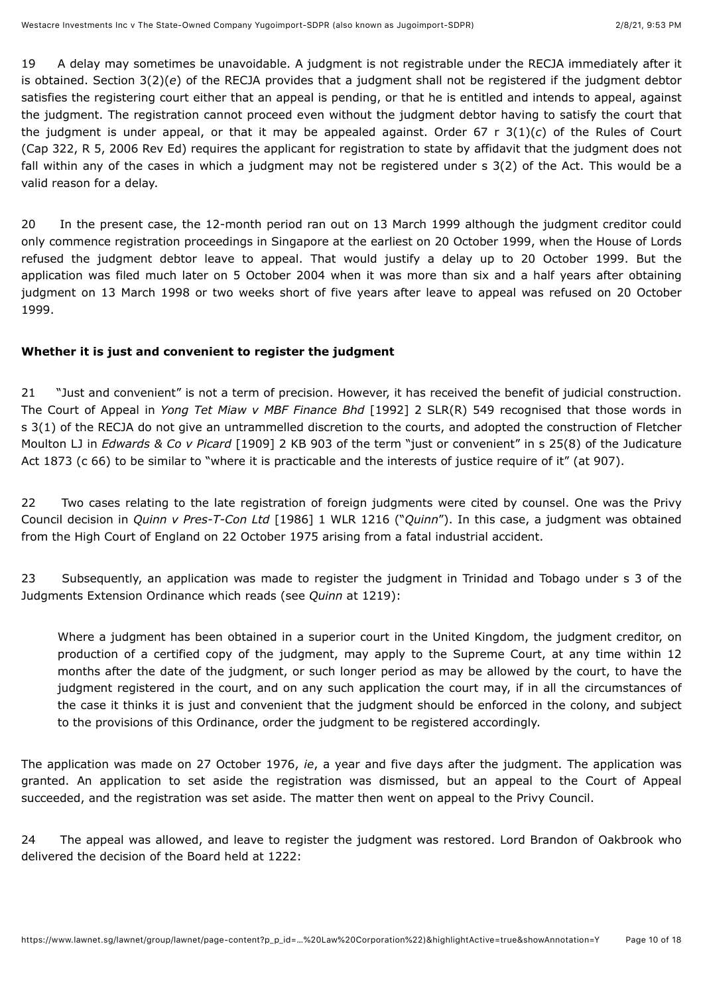19 A delay may sometimes be unavoidable. A judgment is not registrable under the RECJA immediately after it is obtained. Section 3(2)(*e*) of the RECJA provides that a judgment shall not be registered if the judgment debtor satisfies the registering court either that an appeal is pending, or that he is entitled and intends to appeal, against the judgment. The registration cannot proceed even without the judgment debtor having to satisfy the court that the judgment is under appeal, or that it may be appealed against. Order 67 r 3(1)(*c*) of the Rules of Court (Cap 322, R 5, 2006 Rev Ed) requires the applicant for registration to state by affidavit that the judgment does not fall within any of the cases in which a judgment may not be registered under s 3(2) of the Act. This would be a valid reason for a delay.

20 In the present case, the 12-month period ran out on 13 March 1999 although the judgment creditor could only commence registration proceedings in Singapore at the earliest on 20 October 1999, when the House of Lords refused the judgment debtor leave to appeal. That would justify a delay up to 20 October 1999. But the application was filed much later on 5 October 2004 when it was more than six and a half years after obtaining judgment on 13 March 1998 or two weeks short of five years after leave to appeal was refused on 20 October 1999.

## **Whether it is just and convenient to register the judgment**

21 "Just and convenient" is not a term of precision. However, it has received the benefit of judicial construction. The Court of Appeal in *Yong Tet Miaw v MBF Finance Bhd* [\[1992\] 2 SLR\(R\) 549](javascript:viewPageContent() recognised that those words in s 3(1) of the RECJA do not give an untrammelled discretion to the courts, and adopted the construction of Fletcher Moulton LJ in *Edwards & Co v Picard* [\[1909\] 2 KB 903](javascript:viewPageContent() of the term "just or convenient" in s 25(8) of the Judicature Act 1873 (c 66) to be similar to "where it is practicable and the interests of justice require of it" (at 907).

22 Two cases relating to the late registration of foreign judgments were cited by counsel. One was the Privy Council decision in *Quinn v Pres-T-Con Ltd* [\[1986\] 1 WLR 1216](javascript:viewPageContent() ("*Quinn*"). In this case, a judgment was obtained from the High Court of England on 22 October 1975 arising from a fatal industrial accident.

23 Subsequently, an application was made to register the judgment in Trinidad and Tobago under s 3 of the Judgments Extension Ordinance which reads (see *Quinn* at 1219):

Where a judgment has been obtained in a superior court in the United Kingdom, the judgment creditor, on production of a certified copy of the judgment, may apply to the Supreme Court, at any time within 12 months after the date of the judgment, or such longer period as may be allowed by the court, to have the judgment registered in the court, and on any such application the court may, if in all the circumstances of the case it thinks it is just and convenient that the judgment should be enforced in the colony, and subject to the provisions of this Ordinance, order the judgment to be registered accordingly.

The application was made on 27 October 1976, *ie*, a year and five days after the judgment. The application was granted. An application to set aside the registration was dismissed, but an appeal to the Court of Appeal succeeded, and the registration was set aside. The matter then went on appeal to the Privy Council.

24 The appeal was allowed, and leave to register the judgment was restored. Lord Brandon of Oakbrook who delivered the decision of the Board held at 1222: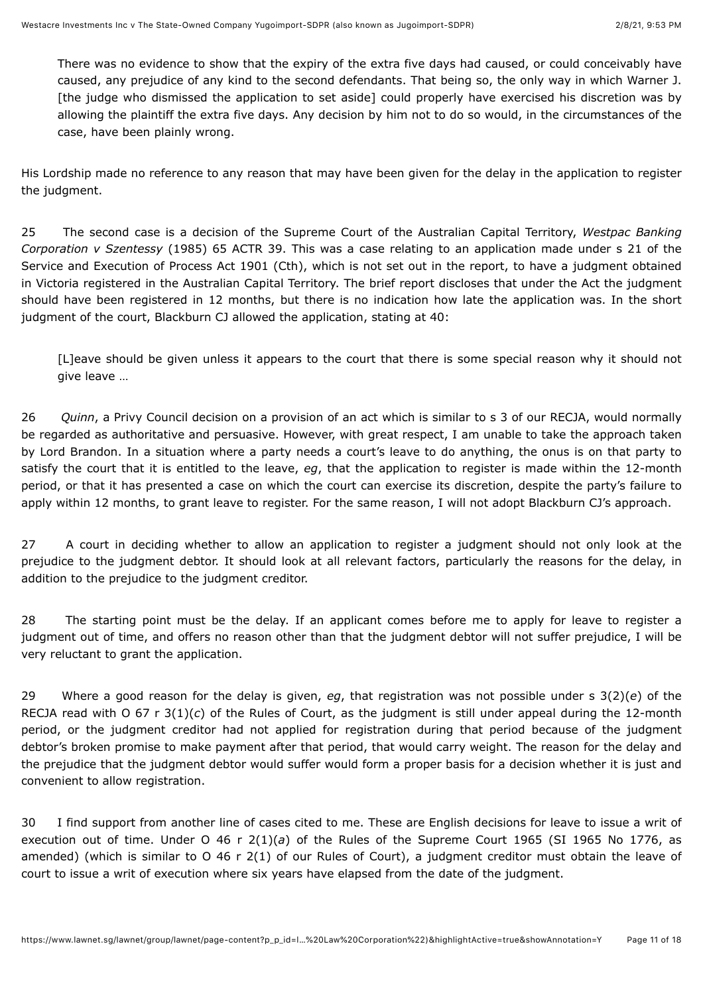There was no evidence to show that the expiry of the extra five days had caused, or could conceivably have caused, any prejudice of any kind to the second defendants. That being so, the only way in which Warner J. [the judge who dismissed the application to set aside] could properly have exercised his discretion was by allowing the plaintiff the extra five days. Any decision by him not to do so would, in the circumstances of the case, have been plainly wrong.

His Lordship made no reference to any reason that may have been given for the delay in the application to register the judgment.

25 The second case is a decision of the Supreme Court of the Australian Capital Territory, *Westpac Banking Corporation v Szentessy* (1985) 65 ACTR 39. This was a case relating to an application made under s 21 of the Service and Execution of Process Act 1901 (Cth), which is not set out in the report, to have a judgment obtained in Victoria registered in the Australian Capital Territory. The brief report discloses that under the Act the judgment should have been registered in 12 months, but there is no indication how late the application was. In the short judgment of the court, Blackburn CJ allowed the application, stating at 40:

[L]eave should be given unless it appears to the court that there is some special reason why it should not give leave …

26 *Quinn*, a Privy Council decision on a provision of an act which is similar to s 3 of our RECJA, would normally be regarded as authoritative and persuasive. However, with great respect, I am unable to take the approach taken by Lord Brandon. In a situation where a party needs a court's leave to do anything, the onus is on that party to satisfy the court that it is entitled to the leave, *eg*, that the application to register is made within the 12-month period, or that it has presented a case on which the court can exercise its discretion, despite the party's failure to apply within 12 months, to grant leave to register. For the same reason, I will not adopt Blackburn CJ's approach.

<span id="page-10-0"></span>27 A court in deciding whether to allow an application to register a judgment should not only look at the prejudice to the judgment debtor. It should look at all relevant factors, particularly the reasons for the delay, in addition to the prejudice to the judgment creditor.

28 The starting point must be the delay. If an applicant comes before me to apply for leave to register a judgment out of time, and offers no reason other than that the judgment debtor will not suffer prejudice, I will be very reluctant to grant the application.

<span id="page-10-1"></span>29 Where a good reason for the delay is given, *eg*, that registration was not possible under s 3(2)(*e*) of the RECJA read with O 67 r 3(1)(*c*) of the Rules of Court, as the judgment is still under appeal during the 12-month period, or the judgment creditor had not applied for registration during that period because of the judgment debtor's broken promise to make payment after that period, that would carry weight. The reason for the delay and the prejudice that the judgment debtor would suffer would form a proper basis for a decision whether it is just and convenient to allow registration.

30 I find support from another line of cases cited to me. These are English decisions for leave to issue a writ of execution out of time. Under O 46 r 2(1)(*a*) of the Rules of the Supreme Court 1965 (SI 1965 No 1776, as amended) (which is similar to O 46 r 2(1) of our Rules of Court), a judgment creditor must obtain the leave of court to issue a writ of execution where six years have elapsed from the date of the judgment.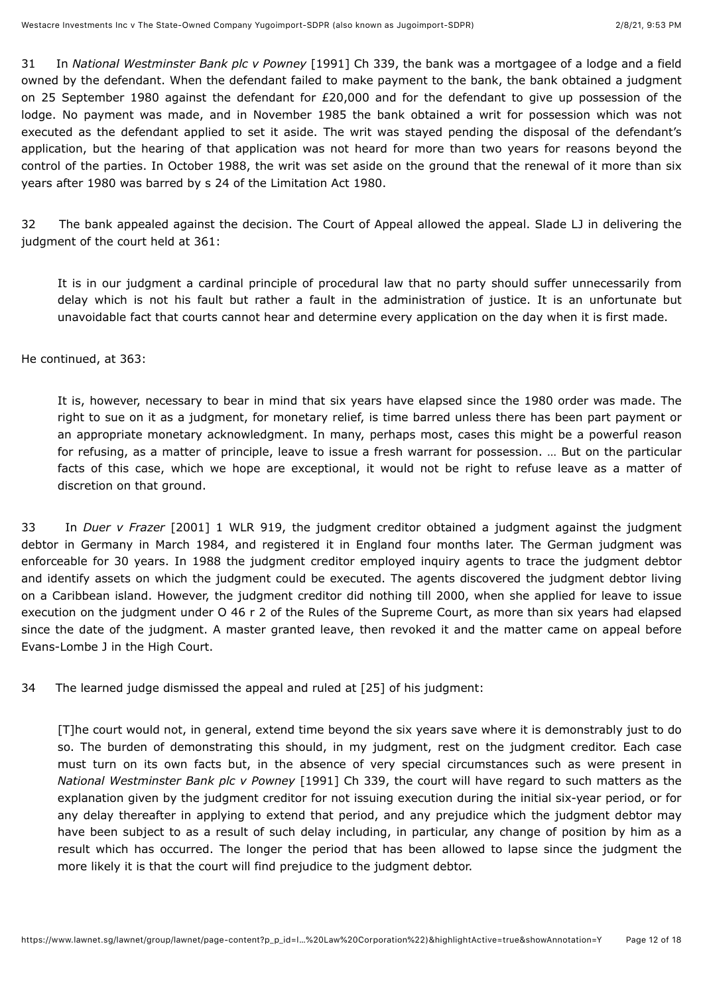<span id="page-11-0"></span>31 In *National Westminster Bank plc v Powney* [1991] Ch 339, the bank was a mortgagee of a lodge and a field owned by the defendant. When the defendant failed to make payment to the bank, the bank obtained a judgment on 25 September 1980 against the defendant for £20,000 and for the defendant to give up possession of the lodge. No payment was made, and in November 1985 the bank obtained a writ for possession which was not executed as the defendant applied to set it aside. The writ was stayed pending the disposal of the defendant's application, but the hearing of that application was not heard for more than two years for reasons beyond the control of the parties. In October 1988, the writ was set aside on the ground that the renewal of it more than six years after 1980 was barred by s 24 of the Limitation Act 1980.

32 The bank appealed against the decision. The Court of Appeal allowed the appeal. Slade LJ in delivering the judgment of the court held at 361:

It is in our judgment a cardinal principle of procedural law that no party should suffer unnecessarily from delay which is not his fault but rather a fault in the administration of justice. It is an unfortunate but unavoidable fact that courts cannot hear and determine every application on the day when it is first made.

He continued, at 363:

It is, however, necessary to bear in mind that six years have elapsed since the 1980 order was made. The right to sue on it as a judgment, for monetary relief, is time barred unless there has been part payment or an appropriate monetary acknowledgment. In many, perhaps most, cases this might be a powerful reason for refusing, as a matter of principle, leave to issue a fresh warrant for possession. … But on the particular facts of this case, which we hope are exceptional, it would not be right to refuse leave as a matter of discretion on that ground.

<span id="page-11-1"></span>33 In *Duer v Frazer* [\[2001\] 1 WLR 919,](javascript:viewPageContent() the judgment creditor obtained a judgment against the judgment debtor in Germany in March 1984, and registered it in England four months later. The German judgment was enforceable for 30 years. In 1988 the judgment creditor employed inquiry agents to trace the judgment debtor and identify assets on which the judgment could be executed. The agents discovered the judgment debtor living on a Caribbean island. However, the judgment creditor did nothing till 2000, when she applied for leave to issue execution on the judgment under O 46 r 2 of the Rules of the Supreme Court, as more than six years had elapsed since the date of the judgment. A master granted leave, then revoked it and the matter came on appeal before Evans-Lombe J in the High Court.

34 The learned judge dismissed the appeal and ruled at [25] of his judgment:

[T]he court would not, in general, extend time beyond the six years save where it is demonstrably just to do so. The burden of demonstrating this should, in my judgment, rest on the judgment creditor. Each case must turn on its own facts but, in the absence of very special circumstances such as were present in *National Westminster Bank plc v Powney* [1991] Ch 339, the court will have regard to such matters as the explanation given by the judgment creditor for not issuing execution during the initial six-year period, or for any delay thereafter in applying to extend that period, and any prejudice which the judgment debtor may have been subject to as a result of such delay including, in particular, any change of position by him as a result which has occurred. The longer the period that has been allowed to lapse since the judgment the more likely it is that the court will find prejudice to the judgment debtor.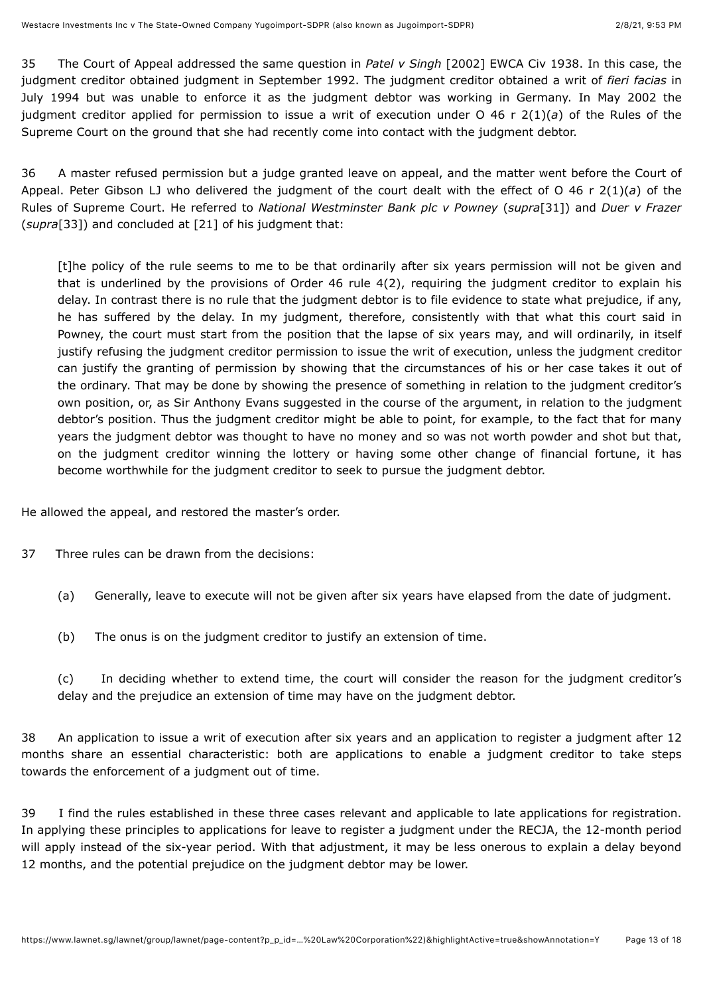35 The Court of Appeal addressed the same question in *Patel v Singh* [2002] EWCA Civ 1938. In this case, the judgment creditor obtained judgment in September 1992. The judgment creditor obtained a writ of *fieri facias* in July 1994 but was unable to enforce it as the judgment debtor was working in Germany. In May 2002 the judgment creditor applied for permission to issue a writ of execution under O 46 r 2(1)(*a*) of the Rules of the Supreme Court on the ground that she had recently come into contact with the judgment debtor.

36 A master refused permission but a judge granted leave on appeal, and the matter went before the Court of Appeal. Peter Gibson LJ who delivered the judgment of the court dealt with the effect of O 46 r 2(1)(*a*) of the Rules of Supreme Court. He referred to *National Westminster Bank plc v Powney* (*supra*[\[31\]](#page-11-0)) and *Duer v Frazer* (*supra*[\[33\]](#page-11-1)) and concluded at [21] of his judgment that:

[t]he policy of the rule seems to me to be that ordinarily after six years permission will not be given and that is underlined by the provisions of Order 46 rule 4(2), requiring the judgment creditor to explain his delay. In contrast there is no rule that the judgment debtor is to file evidence to state what prejudice, if any, he has suffered by the delay. In my judgment, therefore, consistently with that what this court said in Powney, the court must start from the position that the lapse of six years may, and will ordinarily, in itself justify refusing the judgment creditor permission to issue the writ of execution, unless the judgment creditor can justify the granting of permission by showing that the circumstances of his or her case takes it out of the ordinary. That may be done by showing the presence of something in relation to the judgment creditor's own position, or, as Sir Anthony Evans suggested in the course of the argument, in relation to the judgment debtor's position. Thus the judgment creditor might be able to point, for example, to the fact that for many years the judgment debtor was thought to have no money and so was not worth powder and shot but that, on the judgment creditor winning the lottery or having some other change of financial fortune, it has become worthwhile for the judgment creditor to seek to pursue the judgment debtor.

He allowed the appeal, and restored the master's order.

- <span id="page-12-0"></span>37 Three rules can be drawn from the decisions:
	- (a) Generally, leave to execute will not be given after six years have elapsed from the date of judgment.
	- (b) The onus is on the judgment creditor to justify an extension of time.

(c) In deciding whether to extend time, the court will consider the reason for the judgment creditor's delay and the prejudice an extension of time may have on the judgment debtor.

38 An application to issue a writ of execution after six years and an application to register a judgment after 12 months share an essential characteristic: both are applications to enable a judgment creditor to take steps towards the enforcement of a judgment out of time.

<span id="page-12-1"></span>39 I find the rules established in these three cases relevant and applicable to late applications for registration. In applying these principles to applications for leave to register a judgment under the RECJA, the 12-month period will apply instead of the six-year period. With that adjustment, it may be less onerous to explain a delay beyond 12 months, and the potential prejudice on the judgment debtor may be lower.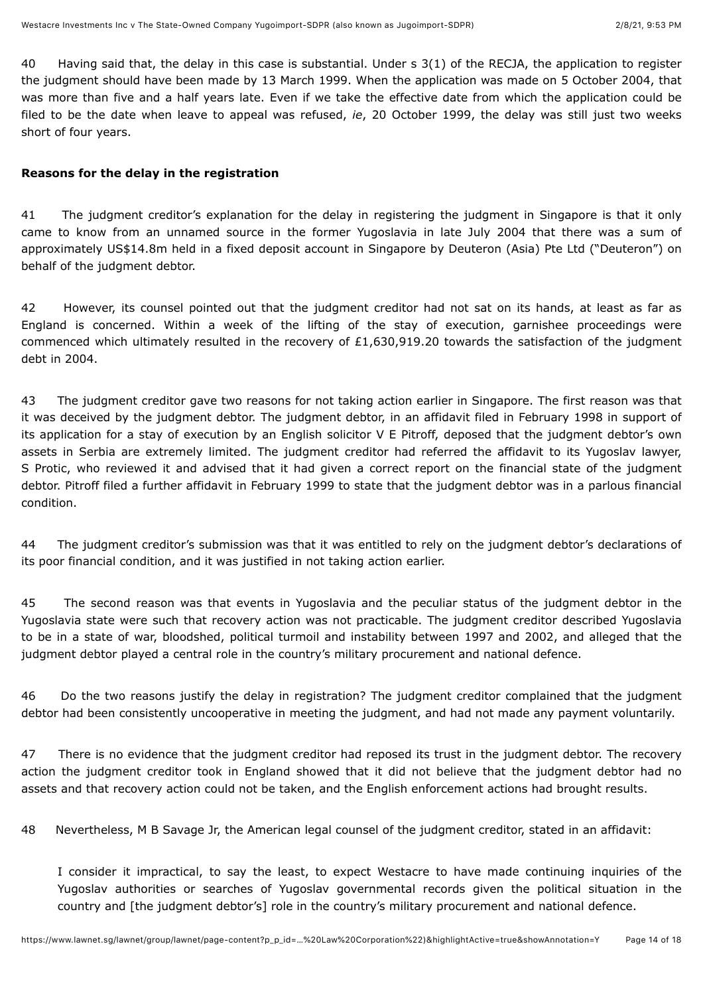<span id="page-13-0"></span>40 Having said that, the delay in this case is substantial. Under s 3(1) of the RECJA, the application to register the judgment should have been made by 13 March 1999. When the application was made on 5 October 2004, that was more than five and a half years late. Even if we take the effective date from which the application could be filed to be the date when leave to appeal was refused, *ie*, 20 October 1999, the delay was still just two weeks short of four years.

## **Reasons for the delay in the registration**

41 The judgment creditor's explanation for the delay in registering the judgment in Singapore is that it only came to know from an unnamed source in the former Yugoslavia in late July 2004 that there was a sum of approximately US\$14.8m held in a fixed deposit account in Singapore by Deuteron (Asia) Pte Ltd ("Deuteron") on behalf of the judgment debtor.

42 However, its counsel pointed out that the judgment creditor had not sat on its hands, at least as far as England is concerned. Within a week of the lifting of the stay of execution, garnishee proceedings were commenced which ultimately resulted in the recovery of £1,630,919.20 towards the satisfaction of the judgment debt in 2004.

<span id="page-13-1"></span>43 The judgment creditor gave two reasons for not taking action earlier in Singapore. The first reason was that it was deceived by the judgment debtor. The judgment debtor, in an affidavit filed in February 1998 in support of its application for a stay of execution by an English solicitor V E Pitroff, deposed that the judgment debtor's own assets in Serbia are extremely limited. The judgment creditor had referred the affidavit to its Yugoslav lawyer, S Protic, who reviewed it and advised that it had given a correct report on the financial state of the judgment debtor. Pitroff filed a further affidavit in February 1999 to state that the judgment debtor was in a parlous financial condition.

44 The judgment creditor's submission was that it was entitled to rely on the judgment debtor's declarations of its poor financial condition, and it was justified in not taking action earlier.

45 The second reason was that events in Yugoslavia and the peculiar status of the judgment debtor in the Yugoslavia state were such that recovery action was not practicable. The judgment creditor described Yugoslavia to be in a state of war, bloodshed, political turmoil and instability between 1997 and 2002, and alleged that the judgment debtor played a central role in the country's military procurement and national defence.

46 Do the two reasons justify the delay in registration? The judgment creditor complained that the judgment debtor had been consistently uncooperative in meeting the judgment, and had not made any payment voluntarily.

47 There is no evidence that the judgment creditor had reposed its trust in the judgment debtor. The recovery action the judgment creditor took in England showed that it did not believe that the judgment debtor had no assets and that recovery action could not be taken, and the English enforcement actions had brought results.

48 Nevertheless, M B Savage Jr, the American legal counsel of the judgment creditor, stated in an affidavit:

I consider it impractical, to say the least, to expect Westacre to have made continuing inquiries of the Yugoslav authorities or searches of Yugoslav governmental records given the political situation in the country and [the judgment debtor's] role in the country's military procurement and national defence.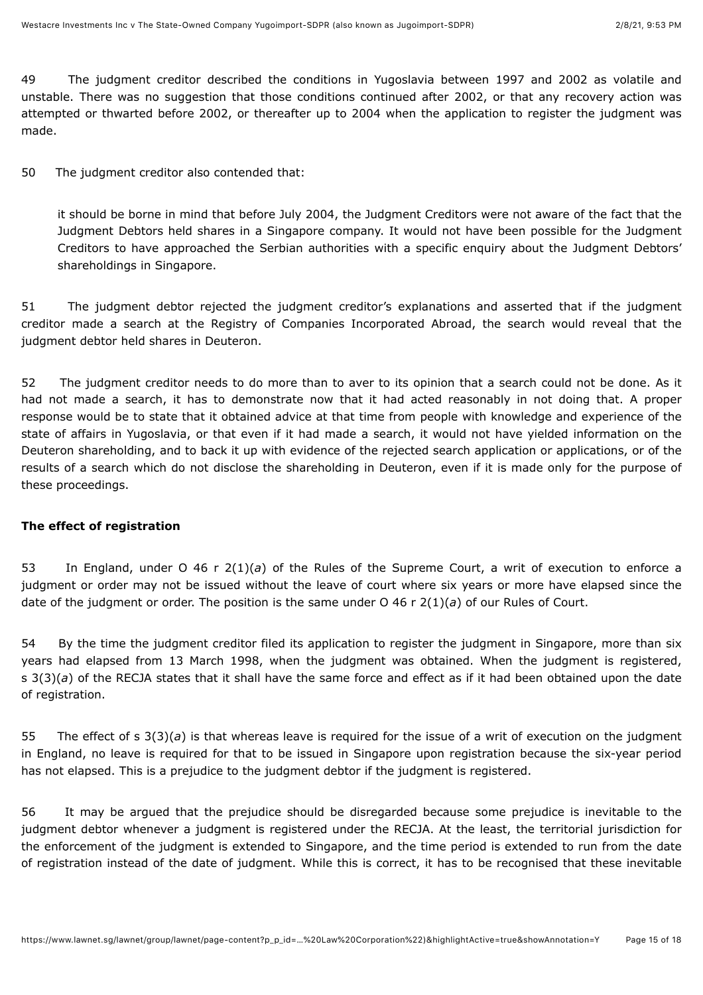49 The judgment creditor described the conditions in Yugoslavia between 1997 and 2002 as volatile and unstable. There was no suggestion that those conditions continued after 2002, or that any recovery action was attempted or thwarted before 2002, or thereafter up to 2004 when the application to register the judgment was made.

<span id="page-14-0"></span>50 The judgment creditor also contended that:

it should be borne in mind that before July 2004, the Judgment Creditors were not aware of the fact that the Judgment Debtors held shares in a Singapore company. It would not have been possible for the Judgment Creditors to have approached the Serbian authorities with a specific enquiry about the Judgment Debtors' shareholdings in Singapore.

51 The judgment debtor rejected the judgment creditor's explanations and asserted that if the judgment creditor made a search at the Registry of Companies Incorporated Abroad, the search would reveal that the judgment debtor held shares in Deuteron.

<span id="page-14-1"></span>52 The judgment creditor needs to do more than to aver to its opinion that a search could not be done. As it had not made a search, it has to demonstrate now that it had acted reasonably in not doing that. A proper response would be to state that it obtained advice at that time from people with knowledge and experience of the state of affairs in Yugoslavia, or that even if it had made a search, it would not have yielded information on the Deuteron shareholding, and to back it up with evidence of the rejected search application or applications, or of the results of a search which do not disclose the shareholding in Deuteron, even if it is made only for the purpose of these proceedings.

#### **The effect of registration**

<span id="page-14-3"></span>53 In England, under O 46 r 2(1)(*a*) of the Rules of the Supreme Court, a writ of execution to enforce a judgment or order may not be issued without the leave of court where six years or more have elapsed since the date of the judgment or order. The position is the same under O 46 r 2(1)(*a*) of our Rules of Court.

54 By the time the judgment creditor filed its application to register the judgment in Singapore, more than six years had elapsed from 13 March 1998, when the judgment was obtained. When the judgment is registered, s 3(3)(*a*) of the RECJA states that it shall have the same force and effect as if it had been obtained upon the date of registration.

<span id="page-14-4"></span>55 The effect of s 3(3)(*a*) is that whereas leave is required for the issue of a writ of execution on the judgment in England, no leave is required for that to be issued in Singapore upon registration because the six-year period has not elapsed. This is a prejudice to the judgment debtor if the judgment is registered.

<span id="page-14-2"></span>56 It may be argued that the prejudice should be disregarded because some prejudice is inevitable to the judgment debtor whenever a judgment is registered under the RECJA. At the least, the territorial jurisdiction for the enforcement of the judgment is extended to Singapore, and the time period is extended to run from the date of registration instead of the date of judgment. While this is correct, it has to be recognised that these inevitable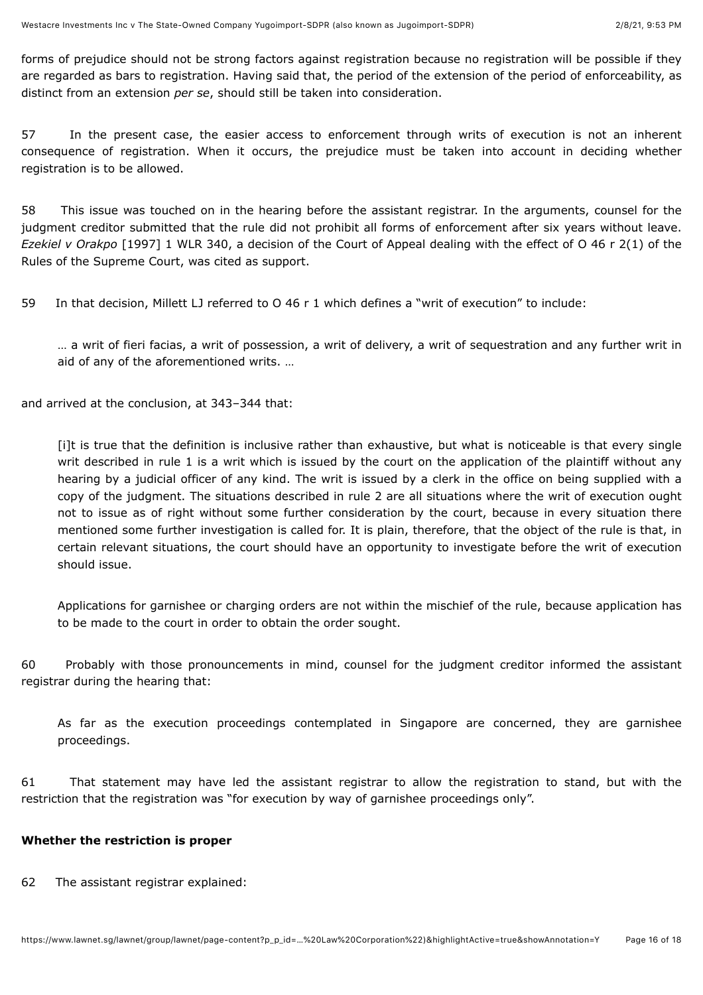forms of prejudice should not be strong factors against registration because no registration will be possible if they are regarded as bars to registration. Having said that, the period of the extension of the period of enforceability, as distinct from an extension *per se*, should still be taken into consideration.

<span id="page-15-0"></span>57 In the present case, the easier access to enforcement through writs of execution is not an inherent consequence of registration. When it occurs, the prejudice must be taken into account in deciding whether registration is to be allowed.

<span id="page-15-1"></span>58 This issue was touched on in the hearing before the assistant registrar. In the arguments, counsel for the judgment creditor submitted that the rule did not prohibit all forms of enforcement after six years without leave. *Ezekiel v Orakpo* [\[1997\] 1 WLR 340](javascript:viewPageContent(), a decision of the Court of Appeal dealing with the effect of O 46 r 2(1) of the Rules of the Supreme Court, was cited as support.

59 In that decision, Millett LJ referred to O 46 r 1 which defines a "writ of execution" to include:

… a writ of fieri facias, a writ of possession, a writ of delivery, a writ of sequestration and any further writ in aid of any of the aforementioned writs. …

and arrived at the conclusion, at 343–344 that:

[i]t is true that the definition is inclusive rather than exhaustive, but what is noticeable is that every single writ described in rule 1 is a writ which is issued by the court on the application of the plaintiff without any hearing by a judicial officer of any kind. The writ is issued by a clerk in the office on being supplied with a copy of the judgment. The situations described in rule 2 are all situations where the writ of execution ought not to issue as of right without some further consideration by the court, because in every situation there mentioned some further investigation is called for. It is plain, therefore, that the object of the rule is that, in certain relevant situations, the court should have an opportunity to investigate before the writ of execution should issue.

Applications for garnishee or charging orders are not within the mischief of the rule, because application has to be made to the court in order to obtain the order sought.

60 Probably with those pronouncements in mind, counsel for the judgment creditor informed the assistant registrar during the hearing that:

As far as the execution proceedings contemplated in Singapore are concerned, they are garnishee proceedings.

<span id="page-15-2"></span>61 That statement may have led the assistant registrar to allow the registration to stand, but with the restriction that the registration was "for execution by way of garnishee proceedings only".

#### **Whether the restriction is proper**

62 The assistant registrar explained: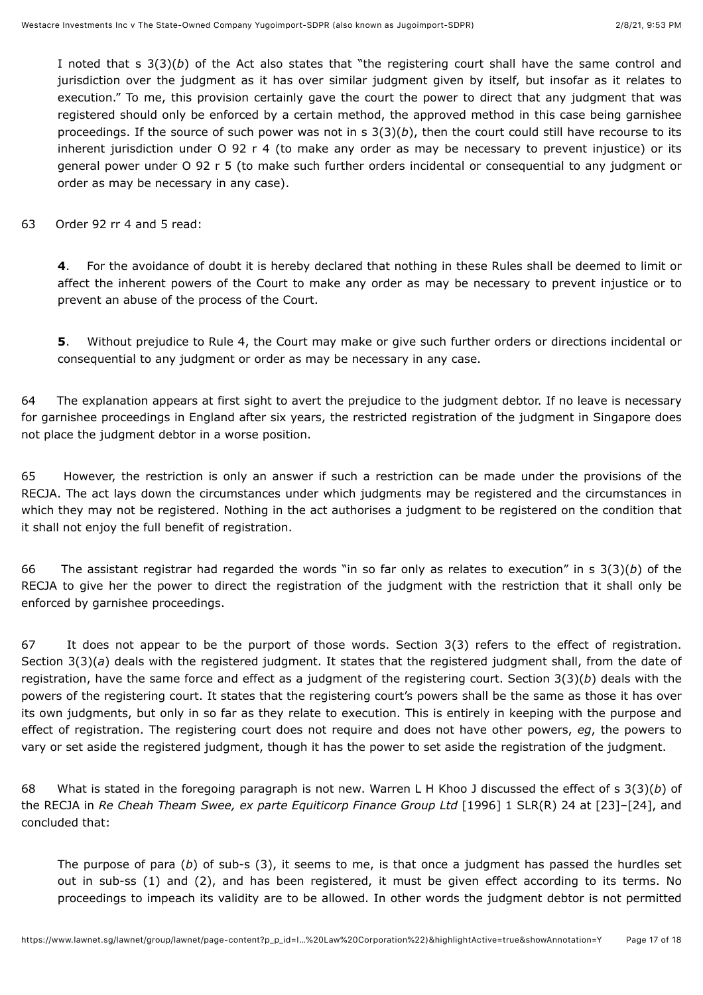I noted that s 3(3)(*b*) of the Act also states that "the registering court shall have the same control and jurisdiction over the judgment as it has over similar judgment given by itself, but insofar as it relates to execution." To me, this provision certainly gave the court the power to direct that any judgment that was registered should only be enforced by a certain method, the approved method in this case being garnishee proceedings. If the source of such power was not in s 3(3)(*b*), then the court could still have recourse to its inherent jurisdiction under O 92 r 4 (to make any order as may be necessary to prevent injustice) or its general power under O 92 r 5 (to make such further orders incidental or consequential to any judgment or order as may be necessary in any case).

63 Order 92 rr 4 and 5 read:

**4**. For the avoidance of doubt it is hereby declared that nothing in these Rules shall be deemed to limit or affect the inherent powers of the Court to make any order as may be necessary to prevent injustice or to prevent an abuse of the process of the Court.

**5**. Without prejudice to Rule 4, the Court may make or give such further orders or directions incidental or consequential to any judgment or order as may be necessary in any case.

<span id="page-16-0"></span>64 The explanation appears at first sight to avert the prejudice to the judgment debtor. If no leave is necessary for garnishee proceedings in England after six years, the restricted registration of the judgment in Singapore does not place the judgment debtor in a worse position.

65 However, the restriction is only an answer if such a restriction can be made under the provisions of the RECJA. The act lays down the circumstances under which judgments may be registered and the circumstances in which they may not be registered. Nothing in the act authorises a judgment to be registered on the condition that it shall not enjoy the full benefit of registration.

66 The assistant registrar had regarded the words "in so far only as relates to execution" in s 3(3)(*b*) of the RECJA to give her the power to direct the registration of the judgment with the restriction that it shall only be enforced by garnishee proceedings.

67 It does not appear to be the purport of those words. Section 3(3) refers to the effect of registration. Section 3(3)(*a*) deals with the registered judgment. It states that the registered judgment shall, from the date of registration, have the same force and effect as a judgment of the registering court. Section 3(3)(*b*) deals with the powers of the registering court. It states that the registering court's powers shall be the same as those it has over its own judgments, but only in so far as they relate to execution. This is entirely in keeping with the purpose and effect of registration. The registering court does not require and does not have other powers, *eg*, the powers to vary or set aside the registered judgment, though it has the power to set aside the registration of the judgment.

68 What is stated in the foregoing paragraph is not new. Warren L H Khoo J discussed the effect of s 3(3)(*b*) of the RECJA in *Re Cheah Theam Swee, ex parte Equiticorp Finance Group Ltd* [\[1996\] 1 SLR\(R\) 24](javascript:viewPageContent() at [23]–[24], and concluded that:

The purpose of para (*b*) of sub-s (3), it seems to me, is that once a judgment has passed the hurdles set out in sub-ss (1) and (2), and has been registered, it must be given effect according to its terms. No proceedings to impeach its validity are to be allowed. In other words the judgment debtor is not permitted